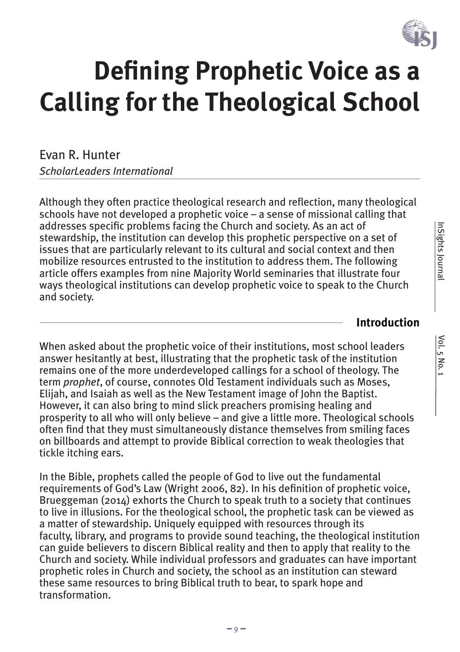

# **Defining Prophetic Voice as a Calling for the Theological School**

Evan R. Hunter *ScholarLeaders International*

Although they often practice theological research and reflection, many theological schools have not developed a prophetic voice – a sense of missional calling that addresses specific problems facing the Church and society. As an act of stewardship, the institution can develop this prophetic perspective on a set of issues that are particularly relevant to its cultural and social context and then mobilize resources entrusted to the institution to address them. The following article offers examples from nine Majority World seminaries that illustrate four ways theological institutions can develop prophetic voice to speak to the Church and society.

#### **Introduction**

When asked about the prophetic voice of their institutions, most school leaders answer hesitantly at best, illustrating that the prophetic task of the institution remains one of the more underdeveloped callings for a school of theology. The term *prophet*, of course, connotes Old Testament individuals such as Moses, Elijah, and Isaiah as well as the New Testament image of John the Baptist. However, it can also bring to mind slick preachers promising healing and prosperity to all who will only believe – and give a little more. Theological schools often find that they must simultaneously distance themselves from smiling faces on billboards and attempt to provide Biblical correction to weak theologies that tickle itching ears.

In the Bible, prophets called the people of God to live out the fundamental requirements of God's Law (Wright 2006, 82). In his definition of prophetic voice, Brueggeman (2014) exhorts the Church to speak truth to a society that continues to live in illusions. For the theological school, the prophetic task can be viewed as a matter of stewardship. Uniquely equipped with resources through its faculty, library, and programs to provide sound teaching, the theological institution can guide believers to discern Biblical reality and then to apply that reality to the Church and society. While individual professors and graduates can have important prophetic roles in Church and society, the school as an institution can steward these same resources to bring Biblical truth to bear, to spark hope and transformation.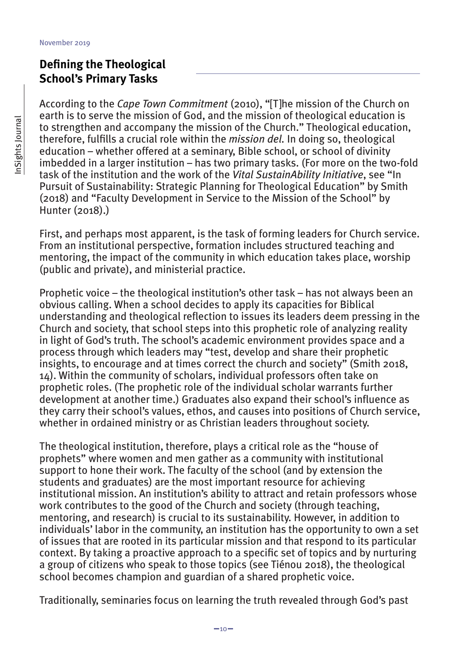## **Defining the Theological School's Primary Tasks**

According to the *Cape Town Commitment* (2010), "[T]he mission of the Church on earth is to serve the mission of God, and the mission of theological education is to strengthen and accompany the mission of the Church." Theological education, therefore, fulfills a crucial role within the *mission del.* In doing so, theological education – whether offered at a seminary, Bible school, or school of divinity imbedded in a larger institution – has two primary tasks. (For more on the two-fold task of the institution and the work of the *Vital SustainAbility Initiative*, see "In Pursuit of Sustainability: Strategic Planning for Theological Education" by Smith (2018) and "Faculty Development in Service to the Mission of the School" by Hunter (2018).)

First, and perhaps most apparent, is the task of forming leaders for Church service. From an institutional perspective, formation includes structured teaching and mentoring, the impact of the community in which education takes place, worship (public and private), and ministerial practice.

Prophetic voice – the theological institution's other task – has not always been an obvious calling. When a school decides to apply its capacities for Biblical understanding and theological reflection to issues its leaders deem pressing in the Church and society, that school steps into this prophetic role of analyzing reality in light of God's truth. The school's academic environment provides space and a process through which leaders may "test, develop and share their prophetic insights, to encourage and at times correct the church and society" (Smith 2018, 14). Within the community of scholars, individual professors often take on prophetic roles. (The prophetic role of the individual scholar warrants further development at another time.) Graduates also expand their school's influence as they carry their school's values, ethos, and causes into positions of Church service, whether in ordained ministry or as Christian leaders throughout society.

The theological institution, therefore, plays a critical role as the "house of prophets" where women and men gather as a community with institutional support to hone their work. The faculty of the school (and by extension the students and graduates) are the most important resource for achieving institutional mission. An institution's ability to attract and retain professors whose work contributes to the good of the Church and society (through teaching, mentoring, and research) is crucial to its sustainability. However, in addition to individuals' labor in the community, an institution has the opportunity to own a set of issues that are rooted in its particular mission and that respond to its particular context. By taking a proactive approach to a specific set of topics and by nurturing a group of citizens who speak to those topics (see Tiénou 2018), the theological school becomes champion and guardian of a shared prophetic voice.

Traditionally, seminaries focus on learning the truth revealed through God's past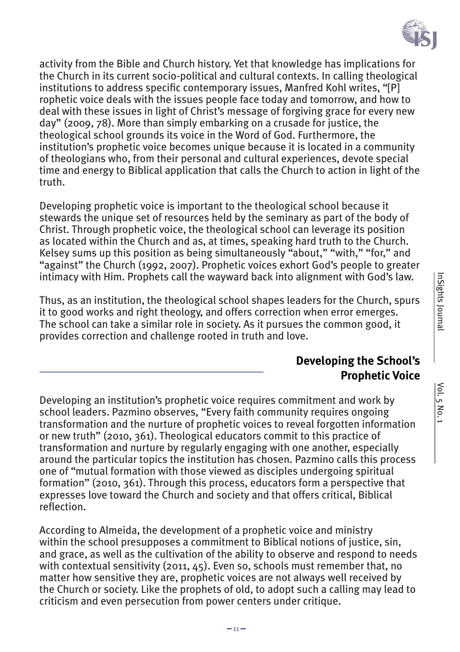

activity from the Bible and Church history. Yet that knowledge has implications for the Church in its current socio-political and cultural contexts. In calling theological institutions to address specific contemporary issues, Manfred Kohl writes, "[P] rophetic voice deals with the issues people face today and tomorrow, and how to deal with these issues in light of Christ's message of forgiving grace for every new day" (2009, 78). More than simply embarking on a crusade for justice, the theological school grounds its voice in the Word of God. Furthermore, the institution's prophetic voice becomes unique because it is located in a community of theologians who, from their personal and cultural experiences, devote special time and energy to Biblical application that calls the Church to action in light of the truth.

Developing prophetic voice is important to the theological school because it stewards the unique set of resources held by the seminary as part of the body of Christ. Through prophetic voice, the theological school can leverage its position as located within the Church and as, at times, speaking hard truth to the Church. Kelsey sums up this position as being simultaneously "about," "with," "for," and "against" the Church (1992, 2007). Prophetic voices exhort God's people to greater intimacy with Him. Prophets call the wayward back into alignment with God's law.

Thus, as an institution, the theological school shapes leaders for the Church, spurs it to good works and right theology, and offers correction when error emerges. The school can take a similar role in society. As it pursues the common good, it provides correction and challenge rooted in truth and love.

#### **Developing the School's Prophetic Voice**

Developing an institution's prophetic voice requires commitment and work by school leaders. Pazmino observes, "Every faith community requires ongoing transformation and the nurture of prophetic voices to reveal forgotten information or new truth" (2010, 361). Theological educators commit to this practice of transformation and nurture by regularly engaging with one another, especially around the particular topics the institution has chosen. Pazmino calls this process one of "mutual formation with those viewed as disciples undergoing spiritual formation" (2010, 361). Through this process, educators form a perspective that expresses love toward the Church and society and that offers critical, Biblical reflection.

According to Almeida, the development of a prophetic voice and ministry within the school presupposes a commitment to Biblical notions of justice, sin, and grace, as well as the cultivation of the ability to observe and respond to needs with contextual sensitivity (2011, 45). Even so, schools must remember that, no matter how sensitive they are, prophetic voices are not always well received by the Church or society. Like the prophets of old, to adopt such a calling may lead to criticism and even persecution from power centers under critique.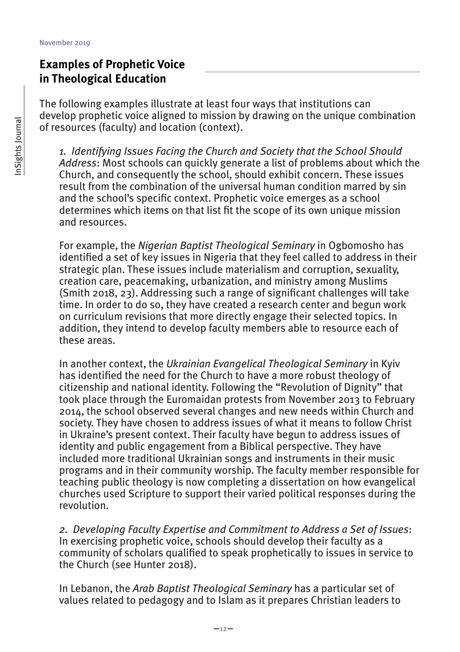## **Examples of Prophetic Voice in Theological Education**

The following examples illustrate at least four ways that institutions can develop prophetic voice aligned to mission by drawing on the unique combination of resources (faculty) and location (context).

*1. Identifying Issues Facing the Church and Society that the School Should Address*: Most schools can quickly generate a list of problems about which the Church, and consequently the school, should exhibit concern. These issues result from the combination of the universal human condition marred by sin and the school's specific context. Prophetic voice emerges as a school determines which items on that list fit the scope of its own unique mission and resources.

For example, the *Nigerian Baptist Theological Seminary* in Ogbomosho has identified a set of key issues in Nigeria that they feel called to address in their strategic plan. These issues include materialism and corruption, sexuality, creation care, peacemaking, urbanization, and ministry among Muslims (Smith 2018, 23). Addressing such a range of significant challenges will take time. In order to do so, they have created a research center and begun work on curriculum revisions that more directly engage their selected topics. In addition, they intend to develop faculty members able to resource each of these areas.

In another context, the *Ukrainian Evangelical Theological Seminary* in Kyiv has identified the need for the Church to have a more robust theology of citizenship and national identity. Following the "Revolution of Dignity" that took place through the Euromaidan protests from November 2013 to February 2014, the school observed several changes and new needs within Church and society. They have chosen to address issues of what it means to follow Christ in Ukraine's present context. Their faculty have begun to address issues of identity and public engagement from a Biblical perspective. They have included more traditional Ukrainian songs and instruments in their music programs and in their community worship. The faculty member responsible for teaching public theology is now completing a dissertation on how evangelical churches used Scripture to support their varied political responses during the revolution.

*2. Developing Faculty Expertise and Commitment to Address a Set of Issues*: In exercising prophetic voice, schools should develop their faculty as a community of scholars qualified to speak prophetically to issues in service to the Church (see Hunter 2018).

In Lebanon, the *Arab Baptist Theological Seminary* has a particular set of values related to pedagogy and to Islam as it prepares Christian leaders to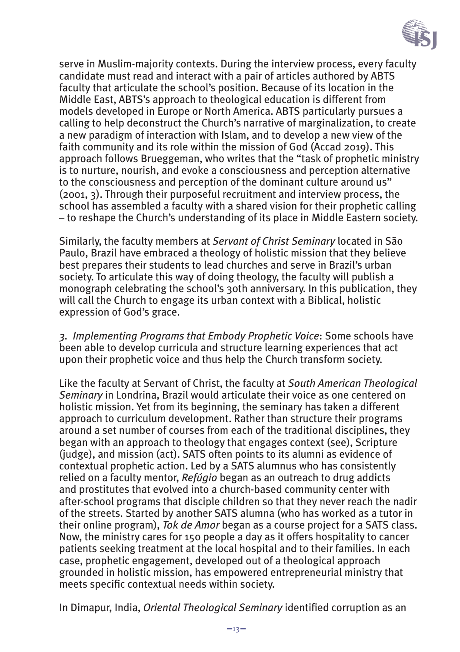

serve in Muslim-majority contexts. During the interview process, every faculty candidate must read and interact with a pair of articles authored by ABTS faculty that articulate the school's position. Because of its location in the Middle East, ABTS's approach to theological education is different from models developed in Europe or North America. ABTS particularly pursues a calling to help deconstruct the Church's narrative of marginalization, to create a new paradigm of interaction with Islam, and to develop a new view of the faith community and its role within the mission of God (Accad 2019). This approach follows Brueggeman, who writes that the "task of prophetic ministry is to nurture, nourish, and evoke a consciousness and perception alternative to the consciousness and perception of the dominant culture around us" (2001, 3). Through their purposeful recruitment and interview process, the school has assembled a faculty with a shared vision for their prophetic calling – to reshape the Church's understanding of its place in Middle Eastern society.

Similarly, the faculty members at *Servant of Christ Seminary* located in São Paulo, Brazil have embraced a theology of holistic mission that they believe best prepares their students to lead churches and serve in Brazil's urban society. To articulate this way of doing theology, the faculty will publish a monograph celebrating the school's 30th anniversary. In this publication, they will call the Church to engage its urban context with a Biblical, holistic expression of God's grace.

*3. Implementing Programs that Embody Prophetic Voice*: Some schools have been able to develop curricula and structure learning experiences that act upon their prophetic voice and thus help the Church transform society.

Like the faculty at Servant of Christ, the faculty at *South American Theological Seminary* in Londrina, Brazil would articulate their voice as one centered on holistic mission. Yet from its beginning, the seminary has taken a different approach to curriculum development. Rather than structure their programs around a set number of courses from each of the traditional disciplines, they began with an approach to theology that engages context (see), Scripture (judge), and mission (act). SATS often points to its alumni as evidence of contextual prophetic action. Led by a SATS alumnus who has consistently relied on a faculty mentor, *Refúgio* began as an outreach to drug addicts and prostitutes that evolved into a church-based community center with after-school programs that disciple children so that they never reach the nadir of the streets. Started by another SATS alumna (who has worked as a tutor in their online program), *Tok de Amor* began as a course project for a SATS class. Now, the ministry cares for 150 people a day as it offers hospitality to cancer patients seeking treatment at the local hospital and to their families. In each case, prophetic engagement, developed out of a theological approach grounded in holistic mission, has empowered entrepreneurial ministry that meets specific contextual needs within society.

In Dimapur, India, *Oriental Theological Seminary* identified corruption as an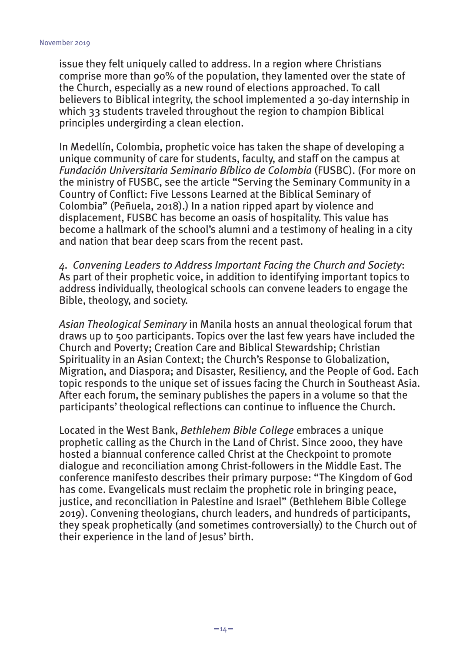issue they felt uniquely called to address. In a region where Christians comprise more than 90% of the population, they lamented over the state of the Church, especially as a new round of elections approached. To call believers to Biblical integrity, the school implemented a 30-day internship in which 33 students traveled throughout the region to champion Biblical principles undergirding a clean election.

In Medellín, Colombia, prophetic voice has taken the shape of developing a unique community of care for students, faculty, and staff on the campus at *Fundación Universitaria Seminario Bíblico de Colombia* (FUSBC). (For more on the ministry of FUSBC, see the article "Serving the Seminary Community in a Country of Conflict: Five Lessons Learned at the Biblical Seminary of Colombia" (Peñuela, 2018).) In a nation ripped apart by violence and displacement, FUSBC has become an oasis of hospitality. This value has become a hallmark of the school's alumni and a testimony of healing in a city and nation that bear deep scars from the recent past.

*4. Convening Leaders to Address Important Facing the Church and Society*: As part of their prophetic voice, in addition to identifying important topics to address individually, theological schools can convene leaders to engage the Bible, theology, and society.

*Asian Theological Seminary* in Manila hosts an annual theological forum that draws up to 500 participants. Topics over the last few years have included the Church and Poverty; Creation Care and Biblical Stewardship; Christian Spirituality in an Asian Context; the Church's Response to Globalization, Migration, and Diaspora; and Disaster, Resiliency, and the People of God. Each topic responds to the unique set of issues facing the Church in Southeast Asia. After each forum, the seminary publishes the papers in a volume so that the participants' theological reflections can continue to influence the Church.

Located in the West Bank, *Bethlehem Bible College* embraces a unique prophetic calling as the Church in the Land of Christ. Since 2000, they have hosted a biannual conference called Christ at the Checkpoint to promote dialogue and reconciliation among Christ-followers in the Middle East. The conference manifesto describes their primary purpose: "The Kingdom of God has come. Evangelicals must reclaim the prophetic role in bringing peace, justice, and reconciliation in Palestine and Israel" (Bethlehem Bible College 2019). Convening theologians, church leaders, and hundreds of participants, they speak prophetically (and sometimes controversially) to the Church out of their experience in the land of Jesus' birth.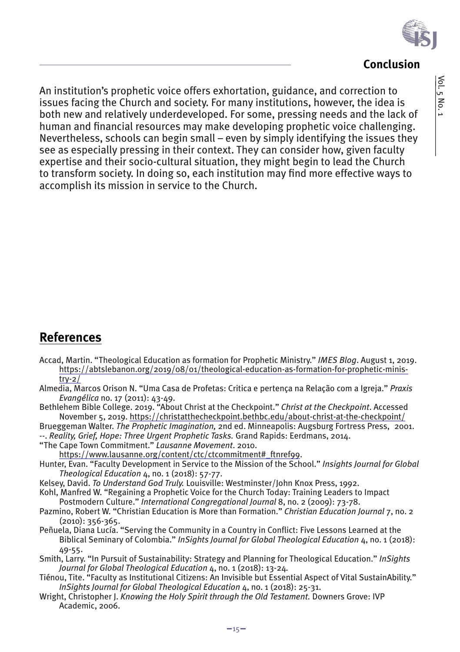

#### **Conclusion**

An institution's prophetic voice offers exhortation, guidance, and correction to issues facing the Church and society. For many institutions, however, the idea is both new and relatively underdeveloped. For some, pressing needs and the lack of human and financial resources may make developing prophetic voice challenging. Nevertheless, schools can begin small – even by simply identifying the issues they see as especially pressing in their context. They can consider how, given faculty expertise and their socio-cultural situation, they might begin to lead the Church to transform society. In doing so, each institution may find more effective ways to accomplish its mission in service to the Church.

## **References**

- Accad, Martin. "Theological Education as formation for Prophetic Ministry." *IMES Blog*. August 1, 2019. https://abtslebanon.org/2019/08/01/theological-education-as-formation-for-prophetic-minis $try-2/$
- Almedia, Marcos Orison N. "Uma Casa de Profetas: Critica e pertença na Relação com a Igreja." *Praxis Evangélica* no. 17 (2011): 43-49.
- Bethlehem Bible College. 2019. "About Christ at the Checkpoint." *Christ at the Checkpoint*. Accessed November 5, 2019. https://christatthecheckpoint.bethbc.edu/about-christ-at-the-checkpoint/

Brueggeman Walter. *The Prophetic Imagination,* 2nd ed. Minneapolis: Augsburg Fortress Press, 2001. --. *Reality, Grief, Hope: Three Urgent Prophetic Tasks.* Grand Rapids: Eerdmans, 2014.

"The Cape Town Commitment." *Lausanne Movement*. 2010.

https://www.lausanne.org/content/ctc/ctcommitment#\_ftnref99.

- Hunter, Evan. "Faculty Development in Service to the Mission of the School." *Insights Journal for Global Theological Education* 4, no. 1 (2018): 57-77.
- Kelsey, David. *To Understand God Truly.* Louisville: Westminster/John Knox Press, 1992.
- Kohl, Manfred W. "Regaining a Prophetic Voice for the Church Today: Training Leaders to Impact Postmodern Culture." *International Congregational Journal* 8, no. 2 (2009): 73-78.
- Pazmino, Robert W. "Christian Education is More than Formation." *Christian Education Journal* 7, no. 2 (2010): 356-365.
- Peñuela, Diana Lucía. "Serving the Community in a Country in Conflict: Five Lessons Learned at the Biblical Seminary of Colombia." *InSights Journal for Global Theological Education* 4, no. 1 (2018): 49-55.
- Smith, Larry. "In Pursuit of Sustainability: Strategy and Planning for Theological Education." *InSights Journal for Global Theological Education* 4, no. 1 (2018): 13-24*.*
- Tiénou, Tite. "Faculty as Institutional Citizens: An Invisible but Essential Aspect of Vital SustainAbility." *InSights Journal for Global Theological Education* 4, no. 1 (2018): 25-31.
- Wright, Christopher J. *Knowing the Holy Spirit through the Old Testament.* Downers Grove: IVP Academic, 2006.